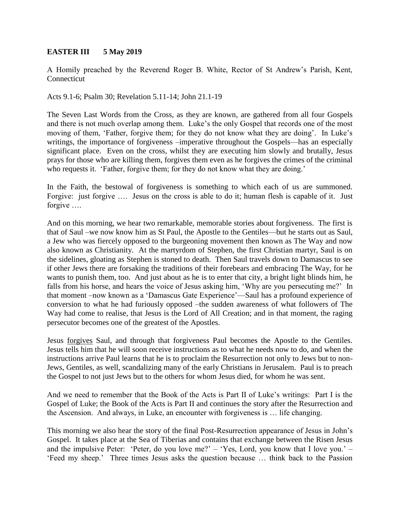## **EASTER III 5 May 2019**

A Homily preached by the Reverend Roger B. White, Rector of St Andrew's Parish, Kent, Connecticut

Acts 9.1-6; Psalm 30; Revelation 5.11-14; John 21.1-19

The Seven Last Words from the Cross, as they are known, are gathered from all four Gospels and there is not much overlap among them. Luke's the only Gospel that records one of the most moving of them, 'Father, forgive them; for they do not know what they are doing'. In Luke's writings, the importance of forgiveness –imperative throughout the Gospels—has an especially significant place. Even on the cross, whilst they are executing him slowly and brutally, Jesus prays for those who are killing them, forgives them even as he forgives the crimes of the criminal who requests it. 'Father, forgive them; for they do not know what they are doing.'

In the Faith, the bestowal of forgiveness is something to which each of us are summoned. Forgive: just forgive …. Jesus on the cross is able to do it; human flesh is capable of it. Just forgive ….

And on this morning, we hear two remarkable, memorable stories about forgiveness. The first is that of Saul –we now know him as St Paul, the Apostle to the Gentiles—but he starts out as Saul, a Jew who was fiercely opposed to the burgeoning movement then known as The Way and now also known as Christianity. At the martyrdom of Stephen, the first Christian martyr, Saul is on the sidelines, gloating as Stephen is stoned to death. Then Saul travels down to Damascus to see if other Jews there are forsaking the traditions of their forebears and embracing The Way, for he wants to punish them, too. And just about as he is to enter that city, a bright light blinds him, he falls from his horse, and hears the voice of Jesus asking him, 'Why are you persecuting me?' In that moment –now known as a 'Damascus Gate Experience'—Saul has a profound experience of conversion to what he had furiously opposed –the sudden awareness of what followers of The Way had come to realise, that Jesus is the Lord of All Creation; and in that moment, the raging persecutor becomes one of the greatest of the Apostles.

Jesus forgives Saul, and through that forgiveness Paul becomes the Apostle to the Gentiles. Jesus tells him that he will soon receive instructions as to what he needs now to do, and when the instructions arrive Paul learns that he is to proclaim the Resurrection not only to Jews but to non-Jews, Gentiles, as well, scandalizing many of the early Christians in Jerusalem. Paul is to preach the Gospel to not just Jews but to the others for whom Jesus died, for whom he was sent.

And we need to remember that the Book of the Acts is Part II of Luke's writings: Part I is the Gospel of Luke; the Book of the Acts is Part II and continues the story after the Resurrection and the Ascension. And always, in Luke, an encounter with forgiveness is … life changing.

This morning we also hear the story of the final Post-Resurrection appearance of Jesus in John's Gospel. It takes place at the Sea of Tiberias and contains that exchange between the Risen Jesus and the impulsive Peter: 'Peter, do you love me?' – 'Yes, Lord, you know that I love you.' – 'Feed my sheep.' Three times Jesus asks the question because … think back to the Passion